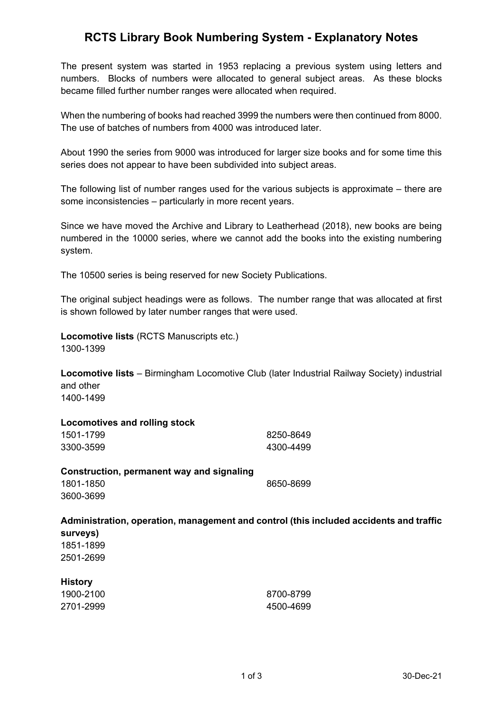### **RCTS Library Book Numbering System - Explanatory Notes**

The present system was started in 1953 replacing a previous system using letters and numbers. Blocks of numbers were allocated to general subject areas. As these blocks became filled further number ranges were allocated when required.

When the numbering of books had reached 3999 the numbers were then continued from 8000. The use of batches of numbers from 4000 was introduced later.

About 1990 the series from 9000 was introduced for larger size books and for some time this series does not appear to have been subdivided into subject areas.

The following list of number ranges used for the various subjects is approximate – there are some inconsistencies – particularly in more recent years.

Since we have moved the Archive and Library to Leatherhead (2018), new books are being numbered in the 10000 series, where we cannot add the books into the existing numbering system.

The 10500 series is being reserved for new Society Publications.

The original subject headings were as follows. The number range that was allocated at first is shown followed by later number ranges that were used.

**Locomotive lists** (RCTS Manuscripts etc.) 1300-1399

**Locomotive lists** – Birmingham Locomotive Club (later Industrial Railway Society) industrial and other 1400-1499

#### **Locomotives and rolling stock**

**History**

| 1501-1799 | 8250-8649 |
|-----------|-----------|
| 3300-3599 | 4300-4499 |

| Construction, permanent way and signaling |           |
|-------------------------------------------|-----------|
| 1801-1850                                 | 8650-8699 |
| 3600-3699                                 |           |

### **Administration, operation, management and control (this included accidents and traffic surveys)** 1851-1899 2501-2699

| $\cdots$  |           |
|-----------|-----------|
| 1900-2100 | 8700-8799 |
| 2701-2999 | 4500-4699 |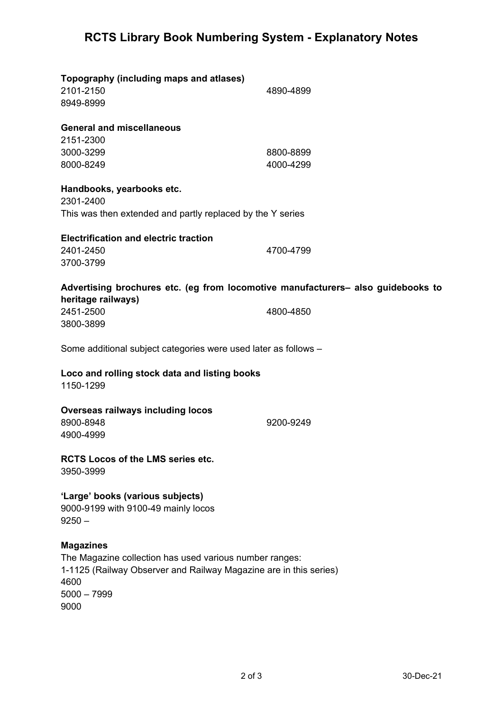# **RCTS Library Book Numbering System - Explanatory Notes**

| Topography (including maps and atlases)<br>2101-2150<br>8949-8999                                                                                        | 4890-4899 |
|----------------------------------------------------------------------------------------------------------------------------------------------------------|-----------|
| <b>General and miscellaneous</b>                                                                                                                         |           |
| 2151-2300                                                                                                                                                |           |
| 3000-3299                                                                                                                                                | 8800-8899 |
| 8000-8249                                                                                                                                                | 4000-4299 |
| Handbooks, yearbooks etc.<br>2301-2400                                                                                                                   |           |
| This was then extended and partly replaced by the Y series                                                                                               |           |
| <b>Electrification and electric traction</b>                                                                                                             |           |
| 2401-2450                                                                                                                                                | 4700-4799 |
| 3700-3799                                                                                                                                                |           |
| Advertising brochures etc. (eg from locomotive manufacturers- also guidebooks to<br>heritage railways)                                                   |           |
| 2451-2500                                                                                                                                                | 4800-4850 |
| 3800-3899                                                                                                                                                |           |
| Some additional subject categories were used later as follows -                                                                                          |           |
| Loco and rolling stock data and listing books<br>1150-1299                                                                                               |           |
| <b>Overseas railways including locos</b>                                                                                                                 |           |
| 8900-8948                                                                                                                                                | 9200-9249 |
| 4900-4999                                                                                                                                                |           |
| <b>RCTS Locos of the LMS series etc.</b><br>3950-3999                                                                                                    |           |
| 'Large' books (various subjects)<br>9000-9199 with 9100-49 mainly locos<br>$9250 -$                                                                      |           |
| <b>Magazines</b><br>The Magazine collection has used various number ranges:<br>1-1125 (Railway Observer and Railway Magazine are in this series)<br>4600 |           |